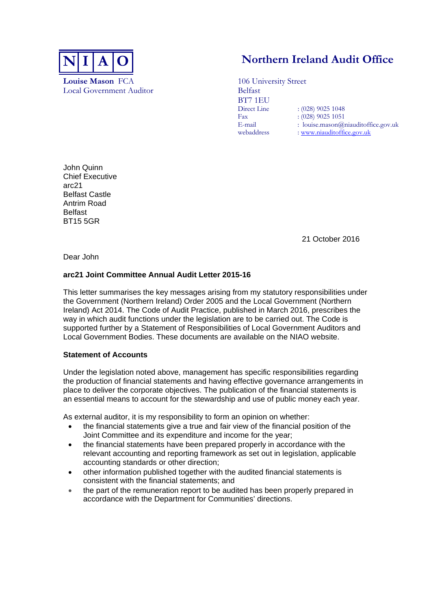

**Louise Mason** FCA 106 University Street Local Government Auditor Belfast

# **N** I A | **O Northern Ireland Audit Office**

BT7 1EU  $: (028)$  9025 1048 Fax :  $(028)$  9025 1051<br>
E-mail : louise mason (a) : louise.mason@niauditoffice.gov.uk webaddress : www.niauditoffice.gov.uk

John Quinn Chief Executive arc21 Belfast Castle Antrim Road Belfast BT15 5GR

21 October 2016

Dear John

## **arc21 Joint Committee Annual Audit Letter 2015-16**

This letter summarises the key messages arising from my statutory responsibilities under the Government (Northern Ireland) Order 2005 and the Local Government (Northern Ireland) Act 2014. The Code of Audit Practice, published in March 2016, prescribes the way in which audit functions under the legislation are to be carried out. The Code is supported further by a Statement of Responsibilities of Local Government Auditors and Local Government Bodies. These documents are available on the NIAO website.

## **Statement of Accounts**

Under the legislation noted above, management has specific responsibilities regarding the production of financial statements and having effective governance arrangements in place to deliver the corporate objectives. The publication of the financial statements is an essential means to account for the stewardship and use of public money each year.

As external auditor, it is my responsibility to form an opinion on whether:

- the financial statements give a true and fair view of the financial position of the Joint Committee and its expenditure and income for the year;
- the financial statements have been prepared properly in accordance with the relevant accounting and reporting framework as set out in legislation, applicable accounting standards or other direction;
- other information published together with the audited financial statements is consistent with the financial statements; and
- the part of the remuneration report to be audited has been properly prepared in accordance with the Department for Communities' directions.